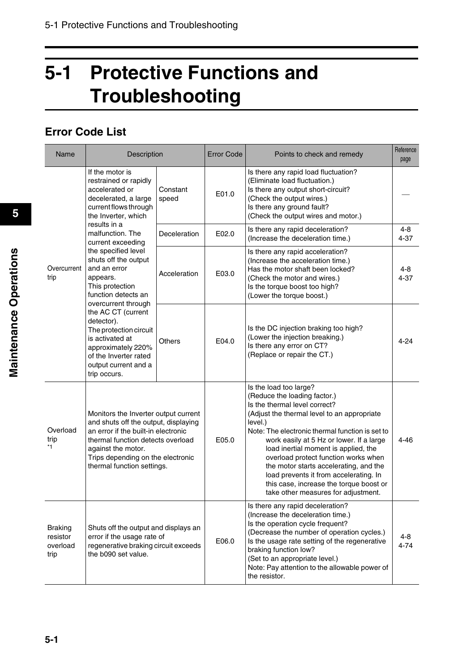## **5-1 Protective Functions and Troubleshooting**

## **Error Code List**

| Name                                                                                                                                                                                                                                                                                                                                    | Description                                                                                                                                                                                                                                       |                   | <b>Error Code</b>                                                                                                                    | Points to check and remedy                                                                                                                                                                                                                                                                                                                                                                                                                                                                             | Reference<br>page   |
|-----------------------------------------------------------------------------------------------------------------------------------------------------------------------------------------------------------------------------------------------------------------------------------------------------------------------------------------|---------------------------------------------------------------------------------------------------------------------------------------------------------------------------------------------------------------------------------------------------|-------------------|--------------------------------------------------------------------------------------------------------------------------------------|--------------------------------------------------------------------------------------------------------------------------------------------------------------------------------------------------------------------------------------------------------------------------------------------------------------------------------------------------------------------------------------------------------------------------------------------------------------------------------------------------------|---------------------|
|                                                                                                                                                                                                                                                                                                                                         | If the motor is<br>restrained or rapidly<br>accelerated or<br>decelerated, a large<br>current flows through<br>the Inverter, which                                                                                                                | Constant<br>speed | E01.0                                                                                                                                | Is there any rapid load fluctuation?<br>(Eliminate load fluctuation.)<br>Is there any output short-circuit?<br>(Check the output wires.)<br>Is there any ground fault?<br>(Check the output wires and motor.)                                                                                                                                                                                                                                                                                          |                     |
|                                                                                                                                                                                                                                                                                                                                         | results in a<br>malfunction. The<br>current exceeding                                                                                                                                                                                             | Deceleration      | E02.0                                                                                                                                | Is there any rapid deceleration?<br>(Increase the deceleration time.)                                                                                                                                                                                                                                                                                                                                                                                                                                  | 4-8<br>$4 - 37$     |
| the specified level<br>shuts off the output<br>Overcurrent<br>and an error<br>trip<br>appears.<br>This protection<br>function detects an<br>overcurrent through<br>the AC CT (current<br>detector).<br>The protection circuit<br>is activated at<br>approximately 220%<br>of the Inverter rated<br>output current and a<br>trip occurs. |                                                                                                                                                                                                                                                   | Acceleration      | E03.0                                                                                                                                | Is there any rapid acceleration?<br>(Increase the acceleration time.)<br>Has the motor shaft been locked?<br>(Check the motor and wires.)<br>Is the torque boost too high?<br>(Lower the torque boost.)                                                                                                                                                                                                                                                                                                | $4 - 8$<br>$4 - 37$ |
|                                                                                                                                                                                                                                                                                                                                         | Others                                                                                                                                                                                                                                            |                   | Is the DC injection braking too high?<br>(Lower the injection breaking.)<br>Is there any error on CT?<br>(Replace or repair the CT.) | 4-24                                                                                                                                                                                                                                                                                                                                                                                                                                                                                                   |                     |
| Overload<br>trip<br>$*1$                                                                                                                                                                                                                                                                                                                | Monitors the Inverter output current<br>and shuts off the output, displaying<br>an error if the built-in electronic<br>thermal function detects overload<br>against the motor.<br>Trips depending on the electronic<br>thermal function settings. |                   | E05.0                                                                                                                                | Is the load too large?<br>(Reduce the loading factor.)<br>Is the thermal level correct?<br>(Adjust the thermal level to an appropriate<br>level.)<br>Note: The electronic thermal function is set to<br>work easily at 5 Hz or lower. If a large<br>load inertial moment is applied, the<br>overload protect function works when<br>the motor starts accelerating, and the<br>load prevents it from accelerating. In<br>this case, increase the torque boost or<br>take other measures for adjustment. | 4-46                |
| <b>Braking</b><br>resistor<br>overload<br>trip                                                                                                                                                                                                                                                                                          | Shuts off the output and displays an<br>error if the usage rate of<br>regenerative braking circuit exceeds<br>the b090 set value.                                                                                                                 |                   | E06.0                                                                                                                                | Is there any rapid deceleration?<br>(Increase the deceleration time.)<br>Is the operation cycle frequent?<br>(Decrease the number of operation cycles.)<br>Is the usage rate setting of the regenerative<br>braking function low?<br>(Set to an appropriate level.)<br>Note: Pay attention to the allowable power of<br>the resistor.                                                                                                                                                                  | 4-8<br>$4 - 74$     |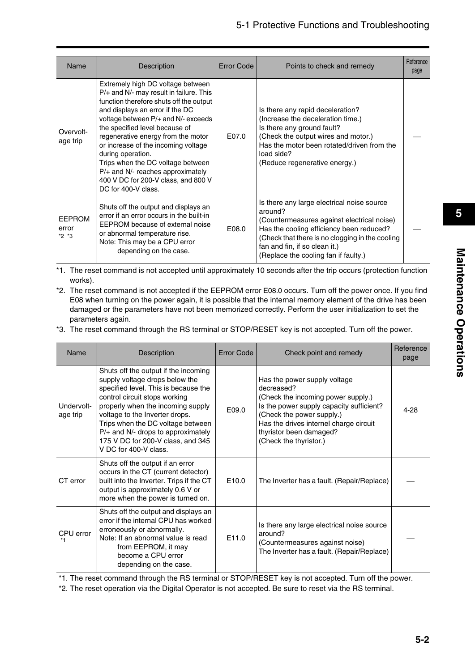| Name                              | Description                                                                                                                                                                                                                                                                                                                                                                                                                                                                     | Error Code | Points to check and remedy                                                                                                                                                                                                                                                  | Reference<br>page |
|-----------------------------------|---------------------------------------------------------------------------------------------------------------------------------------------------------------------------------------------------------------------------------------------------------------------------------------------------------------------------------------------------------------------------------------------------------------------------------------------------------------------------------|------------|-----------------------------------------------------------------------------------------------------------------------------------------------------------------------------------------------------------------------------------------------------------------------------|-------------------|
| Overvolt-<br>age trip             | Extremely high DC voltage between<br>$P/+$ and N/- may result in failure. This<br>function therefore shuts off the output<br>and displays an error if the DC<br>voltage between P/+ and N/- exceeds<br>the specified level because of<br>regenerative energy from the motor<br>or increase of the incoming voltage<br>during operation.<br>Trips when the DC voltage between<br>P/+ and N/- reaches approximately<br>400 V DC for 200-V class, and 800 V<br>DC for 400-V class. | E07.0      | Is there any rapid deceleration?<br>(Increase the deceleration time.)<br>Is there any ground fault?<br>(Check the output wires and motor.)<br>Has the motor been rotated/driven from the<br>load side?<br>(Reduce regenerative energy.)                                     |                   |
| <b>EEPROM</b><br>error<br>$*2 *3$ | Shuts off the output and displays an<br>error if an error occurs in the built-in<br>EEPROM because of external noise<br>or abnormal temperature rise.<br>Note: This may be a CPU error<br>depending on the case.                                                                                                                                                                                                                                                                | E08.0      | Is there any large electrical noise source<br>around?<br>(Countermeasures against electrical noise)<br>Has the cooling efficiency been reduced?<br>(Check that there is no clogging in the cooling<br>fan and fin, if so clean it.)<br>(Replace the cooling fan if faulty.) |                   |

\*1. The reset command is not accepted until approximately 10 seconds after the trip occurs (protection function works).

- \*2. The reset command is not accepted if the EEPROM error E08.0 occurs. Turn off the power once. If you find E08 when turning on the power again, it is possible that the internal memory element of the drive has been damaged or the parameters have not been memorized correctly. Perform the user initialization to set the parameters again.
- \*3. The reset command through the RS terminal or STOP/RESET key is not accepted. Turn off the power.

| Name                   | Description                                                                                                                                                                                                                                                                                                                                                       | <b>Error Code</b> | Check point and remedy                                                                                                                                                                                                                                   | Reference<br>page |
|------------------------|-------------------------------------------------------------------------------------------------------------------------------------------------------------------------------------------------------------------------------------------------------------------------------------------------------------------------------------------------------------------|-------------------|----------------------------------------------------------------------------------------------------------------------------------------------------------------------------------------------------------------------------------------------------------|-------------------|
| Undervolt-<br>age trip | Shuts off the output if the incoming<br>supply voltage drops below the<br>specified level. This is because the<br>control circuit stops working<br>properly when the incoming supply<br>voltage to the Inverter drops.<br>Trips when the DC voltage between<br>$P/+$ and N/- drops to approximately<br>175 V DC for 200-V class, and 345<br>V DC for 400-V class. | E09.0             | Has the power supply voltage<br>decreased?<br>(Check the incoming power supply.)<br>Is the power supply capacity sufficient?<br>(Check the power supply.)<br>Has the drives internel charge circuit<br>thyristor been damaged?<br>(Check the thyristor.) | 4-28              |
| CT error               | Shuts off the output if an error<br>occurs in the CT (current detector)<br>built into the Inverter. Trips if the CT<br>output is approximately 0.6 V or<br>more when the power is turned on.                                                                                                                                                                      | E <sub>10.0</sub> | The Inverter has a fault. (Repair/Replace)                                                                                                                                                                                                               |                   |
| CPU error              | Shuts off the output and displays an<br>error if the internal CPU has worked<br>erroneously or abnormally.<br>Note: If an abnormal value is read<br>from EEPROM, it may<br>become a CPU error<br>depending on the case.                                                                                                                                           | E11.0             | Is there any large electrical noise source<br>around?<br>(Countermeasures against noise)<br>The Inverter has a fault. (Repair/Replace)                                                                                                                   |                   |

\*1. The reset command through the RS terminal or STOP/RESET key is not accepted. Turn off the power.

\*2. The reset operation via the Digital Operator is not accepted. Be sure to reset via the RS terminal.

**5**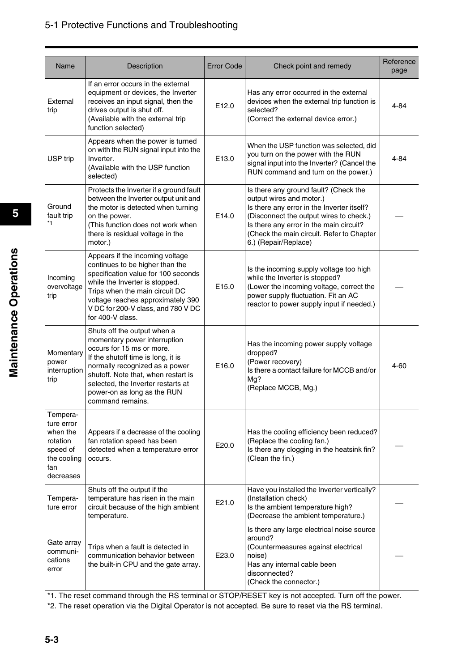| Name                                                                                          | Description                                                                                                                                                                                                                                                                                      | Error Code        | Check point and remedy                                                                                                                                                                                                                                                     | Reference<br>page |
|-----------------------------------------------------------------------------------------------|--------------------------------------------------------------------------------------------------------------------------------------------------------------------------------------------------------------------------------------------------------------------------------------------------|-------------------|----------------------------------------------------------------------------------------------------------------------------------------------------------------------------------------------------------------------------------------------------------------------------|-------------------|
| External<br>trip                                                                              | If an error occurs in the external<br>equipment or devices, the Inverter<br>receives an input signal, then the<br>drives output is shut off.<br>(Available with the external trip<br>function selected)                                                                                          | E12.0             | Has any error occurred in the external<br>devices when the external trip function is<br>selected?<br>(Correct the external device error.)                                                                                                                                  | 4-84              |
| USP trip                                                                                      | Appears when the power is turned<br>on with the RUN signal input into the<br>Inverter.<br>(Available with the USP function<br>selected)                                                                                                                                                          | E <sub>13.0</sub> | When the USP function was selected, did<br>you turn on the power with the RUN<br>signal input into the Inverter? (Cancel the<br>RUN command and turn on the power.)                                                                                                        | 4-84              |
| Ground<br>fault trip<br>*1                                                                    | Protects the Inverter if a ground fault<br>between the Inverter output unit and<br>the motor is detected when turning<br>on the power.<br>(This function does not work when<br>there is residual voltage in the<br>motor.)                                                                       | E14.0             | Is there any ground fault? (Check the<br>output wires and motor.)<br>Is there any error in the Inverter itself?<br>(Disconnect the output wires to check.)<br>Is there any error in the main circuit?<br>(Check the main circuit. Refer to Chapter<br>6.) (Repair/Replace) |                   |
| Incoming<br>overvoltage<br>trip                                                               | Appears if the incoming voltage<br>continues to be higher than the<br>specification value for 100 seconds<br>while the Inverter is stopped.<br>Trips when the main circuit DC<br>voltage reaches approximately 390<br>V DC for 200-V class, and 780 V DC<br>for 400-V class.                     | E <sub>15.0</sub> | Is the incoming supply voltage too high<br>while the Inverter is stopped?<br>(Lower the incoming voltage, correct the<br>power supply fluctuation. Fit an AC<br>reactor to power supply input if needed.)                                                                  |                   |
| Momentary<br>power<br>interruption<br>trip                                                    | Shuts off the output when a<br>momentary power interruption<br>occurs for 15 ms or more.<br>If the shutoff time is long, it is<br>normally recognized as a power<br>shutoff. Note that, when restart is<br>selected, the Inverter restarts at<br>power-on as long as the RUN<br>command remains. | E16.0             | Has the incoming power supply voltage<br>dropped?<br>(Power recovery)<br>Is there a contact failure for MCCB and/or<br>Mg?<br>(Replace MCCB, Mg.)                                                                                                                          | 4-60              |
| Tempera-<br>ture error<br>when the<br>rotation<br>speed of<br>the cooling<br>fan<br>decreases | Appears if a decrease of the cooling<br>fan rotation speed has been<br>detected when a temperature error<br>occurs.                                                                                                                                                                              | E20.0             | Has the cooling efficiency been reduced?<br>(Replace the cooling fan.)<br>Is there any clogging in the heatsink fin?<br>(Clean the fin.)                                                                                                                                   |                   |
| Tempera-<br>ture error                                                                        | Shuts off the output if the<br>temperature has risen in the main<br>circuit because of the high ambient<br>temperature.                                                                                                                                                                          | E21.0             | Have you installed the Inverter vertically?<br>(Installation check)<br>Is the ambient temperature high?<br>(Decrease the ambient temperature.)                                                                                                                             |                   |
| Gate array<br>communi-<br>cations<br>error                                                    | Trips when a fault is detected in<br>communication behavior between<br>the built-in CPU and the gate array.                                                                                                                                                                                      | E23.0             | Is there any large electrical noise source<br>around?<br>(Countermeasures against electrical<br>noise)<br>Has any internal cable been<br>disconnected?<br>(Check the connector.)                                                                                           |                   |

\*1. The reset command through the RS terminal or STOP/RESET key is not accepted. Turn off the power.

\*2. The reset operation via the Digital Operator is not accepted. Be sure to reset via the RS terminal.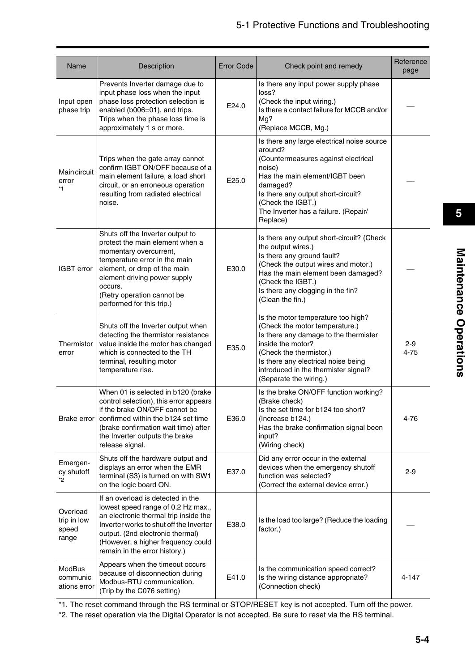| Name                                      | Description                                                                                                                                                                                                                                                            | <b>Error Code</b> | Check point and remedy                                                                                                                                                                                                                                                 | Reference<br>page   |
|-------------------------------------------|------------------------------------------------------------------------------------------------------------------------------------------------------------------------------------------------------------------------------------------------------------------------|-------------------|------------------------------------------------------------------------------------------------------------------------------------------------------------------------------------------------------------------------------------------------------------------------|---------------------|
| Input open<br>phase trip                  | Prevents Inverter damage due to<br>input phase loss when the input<br>phase loss protection selection is<br>enabled (b006=01), and trips.<br>Trips when the phase loss time is<br>approximately 1 s or more.                                                           | E24.0             | Is there any input power supply phase<br>loss?<br>(Check the input wiring.)<br>Is there a contact failure for MCCB and/or<br>Mg?<br>(Replace MCCB, Mg.)                                                                                                                |                     |
| <b>Maincircuit</b><br>error<br>*1         | Trips when the gate array cannot<br>confirm IGBT ON/OFF because of a<br>main element failure, a load short<br>circuit, or an erroneous operation<br>resulting from radiated electrical<br>noise.                                                                       | E25.0             | Is there any large electrical noise source<br>around?<br>(Countermeasures against electrical<br>noise)<br>Has the main element/IGBT been<br>damaged?<br>Is there any output short-circuit?<br>(Check the IGBT.)<br>The Inverter has a failure. (Repair/<br>Replace)    |                     |
| IGBT error                                | Shuts off the Inverter output to<br>protect the main element when a<br>momentary overcurrent,<br>temperature error in the main<br>element, or drop of the main<br>element driving power supply<br>occurs.<br>(Retry operation cannot be<br>performed for this trip.)   | E30.0             | Is there any output short-circuit? (Check<br>the output wires.)<br>Is there any ground fault?<br>(Check the output wires and motor.)<br>Has the main element been damaged?<br>(Check the IGBT.)<br>Is there any clogging in the fin?<br>(Clean the fin.)               |                     |
| Thermistor<br>error                       | Shuts off the Inverter output when<br>detecting the thermistor resistance<br>value inside the motor has changed<br>which is connected to the TH<br>terminal, resulting motor<br>temperature rise.                                                                      | E35.0             | Is the motor temperature too high?<br>(Check the motor temperature.)<br>Is there any damage to the thermister<br>inside the motor?<br>(Check the thermistor.)<br>Is there any electrical noise being<br>introduced in the thermister signal?<br>(Separate the wiring.) | $2 - 9$<br>$4 - 75$ |
| Brake error                               | When 01 is selected in b120 (brake<br>control selection), this error appears<br>if the brake ON/OFF cannot be<br>confirmed within the b124 set time<br>(brake confirmation wait time) after<br>the Inverter outputs the brake<br>release signal.                       | E36.0             | Is the brake ON/OFF function working?<br>(Brake check)<br>Is the set time for b124 too short?<br>(Increase b124.)<br>Has the brake confirmation signal been<br>input?<br>(Wiring check)                                                                                | 4-76                |
| Emergen-<br>cy shutoff<br>*2              | Shuts off the hardware output and<br>displays an error when the EMR<br>terminal (S3) is turned on with SW1<br>on the logic board ON.                                                                                                                                   | E37.0             | Did any error occur in the external<br>devices when the emergency shutoff<br>function was selected?<br>(Correct the external device error.)                                                                                                                            | 2-9                 |
| Overload<br>trip in low<br>speed<br>range | If an overload is detected in the<br>lowest speed range of 0.2 Hz max.,<br>an electronic thermal trip inside the<br>Inverter works to shut off the Inverter<br>output. (2nd electronic thermal)<br>(However, a higher frequency could<br>remain in the error history.) | E38.0             | Is the load too large? (Reduce the loading<br>factor.)                                                                                                                                                                                                                 |                     |
| ModBus<br>communic<br>ations error        | Appears when the timeout occurs<br>because of disconnection during<br>Modbus-RTU communication.<br>(Trip by the C076 setting)                                                                                                                                          | E41.0             | Is the communication speed correct?<br>Is the wiring distance appropriate?<br>(Connection check)                                                                                                                                                                       | 4-147               |

\*1. The reset command through the RS terminal or STOP/RESET key is not accepted. Turn off the power.

\*2. The reset operation via the Digital Operator is not accepted. Be sure to reset via the RS terminal.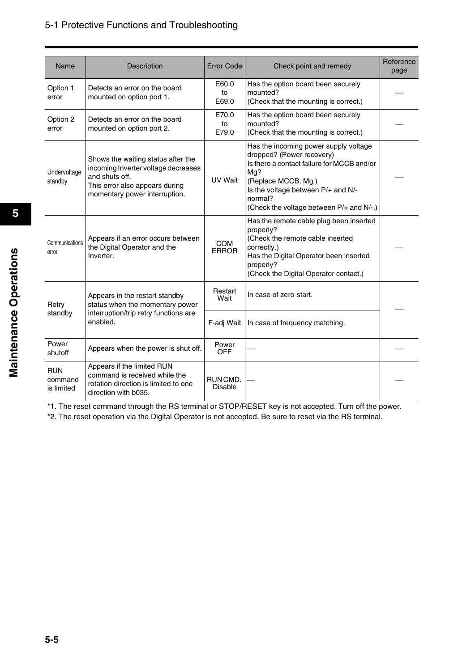| Name                                                         | Description                                                                                                                                                    | <b>Error Code</b>          | Check point and remedy                                                                                                                                                                                                                      | Reference<br>page |
|--------------------------------------------------------------|----------------------------------------------------------------------------------------------------------------------------------------------------------------|----------------------------|---------------------------------------------------------------------------------------------------------------------------------------------------------------------------------------------------------------------------------------------|-------------------|
| Option 1<br>error                                            | Detects an error on the board<br>mounted on option port 1.                                                                                                     | E60.0<br>to<br>E69.0       | Has the option board been securely<br>mounted?<br>(Check that the mounting is correct.)                                                                                                                                                     |                   |
| Option 2<br>error                                            | Detects an error on the board<br>mounted on option port 2.                                                                                                     | E70.0<br>to<br>E79.0       | Has the option board been securely<br>mounted?<br>(Check that the mounting is correct.)                                                                                                                                                     |                   |
| Undervoltage<br>standby                                      | Shows the waiting status after the<br>incoming Inverter voltage decreases<br>and shuts off.<br>This error also appears during<br>momentary power interruption. | UV Wait                    | Has the incoming power supply voltage<br>dropped? (Power recovery)<br>Is there a contact failure for MCCB and/or<br>Mg?<br>(Replace MCCB, Mg.)<br>Is the voltage between P/+ and N/-<br>normal?<br>(Check the voltage between P/+ and N/-.) |                   |
| Communications<br>error                                      | Appears if an error occurs between<br>the Digital Operator and the<br>Inverter.                                                                                | <b>COM</b><br><b>ERROR</b> | Has the remote cable plug been inserted<br>properly?<br>(Check the remote cable inserted<br>correctly.)<br>Has the Digital Operator been inserted<br>properly?<br>(Check the Digital Operator contact.)                                     |                   |
| Retry                                                        | Appears in the restart standby<br>status when the momentary power                                                                                              | Restart<br>Wait            | In case of zero-start.                                                                                                                                                                                                                      |                   |
| interruption/trip retry functions are<br>standby<br>enabled. |                                                                                                                                                                | F-adj Wait                 | In case of frequency matching.                                                                                                                                                                                                              |                   |
| Power<br>shutoff                                             | Appears when the power is shut off.                                                                                                                            | Power<br><b>OFF</b>        |                                                                                                                                                                                                                                             |                   |
| <b>RUN</b><br>command<br>is limited                          | Appears if the limited RUN<br>command is received while the<br>rotation direction is limited to one<br>direction with b035.                                    | RUNCMD.<br><b>Disable</b>  |                                                                                                                                                                                                                                             |                   |

\*1. The reset command through the RS terminal or STOP/RESET key is not accepted. Turn off the power.

\*2. The reset operation via the Digital Operator is not accepted. Be sure to reset via the RS terminal.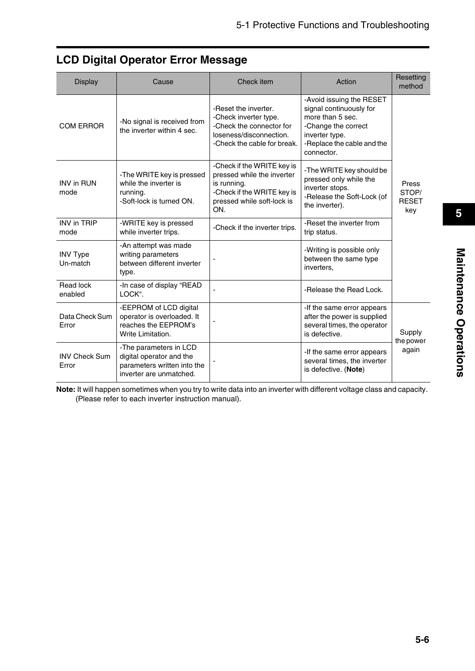| <b>Display</b>                | Cause                                                                                                        | Check item                                                                                                                                 | Action                                                                                                                                                       | Resetting<br>method                   |
|-------------------------------|--------------------------------------------------------------------------------------------------------------|--------------------------------------------------------------------------------------------------------------------------------------------|--------------------------------------------------------------------------------------------------------------------------------------------------------------|---------------------------------------|
| <b>COM ERROR</b>              | -No signal is received from<br>the inverter within 4 sec.                                                    | -Reset the inverter.<br>-Check inverter type.<br>-Check the connector for<br>loseness/disconnection.<br>-Check the cable for break.        | -Avoid issuing the RESET<br>signal continuously for<br>more than 5 sec.<br>-Change the correct<br>inverter type.<br>-Replace the cable and the<br>connector. |                                       |
| <b>INV in RUN</b><br>mode     | -The WRITE key is pressed<br>while the inverter is<br>running.<br>-Soft-lock is turned ON.                   | -Check if the WRITE key is<br>pressed while the inverter<br>is running.<br>-Check if the WRITE key is<br>pressed while soft-lock is<br>ON. | -The WRITE key should be<br>pressed only while the<br>inverter stops.<br>-Release the Soft-Lock (of<br>the inverter).                                        | Press<br>STOP/<br><b>RESET</b><br>key |
| <b>INV in TRIP</b><br>mode    | -WRITE key is pressed<br>while inverter trips.                                                               | -Check if the inverter trips.                                                                                                              | -Reset the inverter from<br>trip status.                                                                                                                     |                                       |
| <b>INV Type</b><br>Un-match   | -An attempt was made<br>writing parameters<br>between different inverter<br>type.                            |                                                                                                                                            | -Writing is possible only<br>between the same type<br>inverters.                                                                                             |                                       |
| Read lock<br>enabled          | -In case of display "READ<br>LOCK".                                                                          |                                                                                                                                            | -Release the Read Lock.                                                                                                                                      |                                       |
| Data Check Sum<br>Error       | -EEPROM of LCD digital<br>operator is overloaded. It<br>reaches the EEPROM's<br>Write Limitation.            |                                                                                                                                            | -If the same error appears<br>after the power is supplied<br>several times, the operator<br>is defective.                                                    | Supply<br>the power                   |
| <b>INV Check Sum</b><br>Error | -The parameters in LCD<br>digital operator and the<br>parameters written into the<br>inverter are unmatched. |                                                                                                                                            | -If the same error appears<br>several times, the inverter<br>is defective. (Note)                                                                            | again                                 |

## **LCD Digital Operator Error Message**

**Note:** It will happen sometimes when you try to write data into an inverter with different voltage class and capacity. (Please refer to each inverter instruction manual).

**5**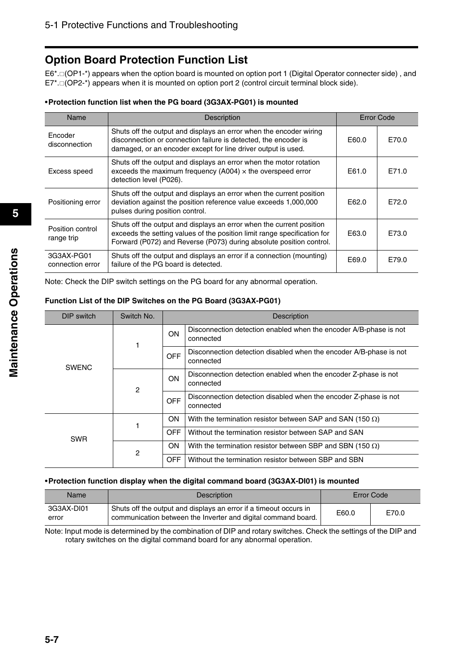## **Option Board Protection Function List**

E6\*.<sup>[OP1-\*</sup>) appears when the option board is mounted on option port 1 (Digital Operator connecter side), and  $E7^*$ .  $\Box$  (OP2-\*) appears when it is mounted on option port 2 (control circuit terminal block side).

#### •**Protection function list when the PG board (3G3AX-PG01) is mounted**

| Name                           | <b>Description</b>                                                                                                                                                                                                      | Error Code |       |
|--------------------------------|-------------------------------------------------------------------------------------------------------------------------------------------------------------------------------------------------------------------------|------------|-------|
| Encoder<br>disconnection       | Shuts off the output and displays an error when the encoder wiring<br>disconnection or connection failure is detected, the encoder is<br>damaged, or an encoder except for line driver output is used.                  | E60.0      | E70.0 |
| Excess speed                   | Shuts off the output and displays an error when the motor rotation<br>exceeds the maximum frequency (A004) $\times$ the overspeed error<br>detection level (P026).                                                      | E61.0      | F71.0 |
| Positioning error              | Shuts off the output and displays an error when the current position<br>deviation against the position reference value exceeds 1,000,000<br>pulses during position control.                                             | E62.0      | E72.0 |
| Position control<br>range trip | Shuts off the output and displays an error when the current position<br>exceeds the setting values of the position limit range specification for<br>Forward (P072) and Reverse (P073) during absolute position control. | E63.0      | E73.0 |
| 3G3AX-PG01<br>connection error | Shuts off the output and displays an error if a connection (mounting)<br>failure of the PG board is detected.                                                                                                           | E69.0      | E79.0 |

Note: Check the DIP switch settings on the PG board for any abnormal operation.

#### **Function List of the DIP Switches on the PG Board (3G3AX-PG01)**

| DIP switch   | Switch No. |            | <b>Description</b>                                                              |
|--------------|------------|------------|---------------------------------------------------------------------------------|
| <b>SWENC</b> |            | ON         | Disconnection detection enabled when the encoder A/B-phase is not<br>connected  |
|              |            | <b>OFF</b> | Disconnection detection disabled when the encoder A/B-phase is not<br>connected |
|              | 2          | <b>ON</b>  | Disconnection detection enabled when the encoder Z-phase is not<br>connected    |
|              |            | <b>OFF</b> | Disconnection detection disabled when the encoder Z-phase is not<br>connected   |
|              |            | <b>ON</b>  | With the termination resistor between SAP and SAN (150 $\Omega$ )               |
| <b>SWR</b>   |            | <b>OFF</b> | Without the termination resistor between SAP and SAN                            |
|              | 2          | ON.        | With the termination resistor between SBP and SBN (150 $\Omega$ )               |
|              |            | OFF.       | Without the termination resistor between SBP and SBN                            |

#### •**Protection function display when the digital command board (3G3AX-DI01) is mounted**

| Name                | <b>Description</b>                                                                                                                 |       | Error Code |
|---------------------|------------------------------------------------------------------------------------------------------------------------------------|-------|------------|
| 3G3AX-DI01<br>error | Shuts off the output and displays an error if a timeout occurs in<br>communication between the Inverter and digital command board. | E60.0 | E70.0      |

Note: Input mode is determined by the combination of DIP and rotary switches. Check the settings of the DIP and rotary switches on the digital command board for any abnormal operation.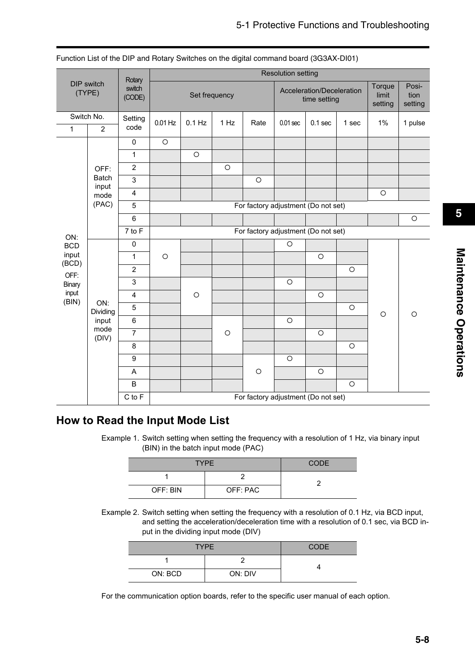|                             |                       | Rotary                  |               |                                     |         |                                     |                                           | <b>Resolution setting</b> |            |                            |                          |
|-----------------------------|-----------------------|-------------------------|---------------|-------------------------------------|---------|-------------------------------------|-------------------------------------------|---------------------------|------------|----------------------------|--------------------------|
| <b>DIP</b> switch<br>(TYPE) |                       | switch<br>(CODE)        | Set frequency |                                     |         |                                     | Acceleration/Deceleration<br>time setting |                           |            | Torque<br>limit<br>setting | Posi-<br>tion<br>setting |
|                             | Switch No.            | Setting                 | $0.01$ Hz     | $0.1$ Hz                            | 1 Hz    | Rate                                | $0.01$ sec                                | $0.1$ sec                 | 1 sec      | 1%                         | 1 pulse                  |
| $\mathbf{1}$                | $\overline{2}$        | code                    |               |                                     |         |                                     |                                           |                           |            |                            |                          |
|                             |                       | $\pmb{0}$               | $\circ$       |                                     |         |                                     |                                           |                           |            |                            |                          |
|                             |                       | $\mathbf{1}$            |               | $\circ$                             |         |                                     |                                           |                           |            |                            |                          |
|                             | OFF:                  | $\overline{2}$          |               |                                     | $\circ$ |                                     |                                           |                           |            |                            |                          |
|                             | <b>Batch</b><br>input | $\mathbf{3}$            |               |                                     |         | $\circ$                             |                                           |                           |            |                            |                          |
|                             | mode                  | $\overline{\mathbf{4}}$ |               |                                     |         |                                     |                                           |                           |            | $\circ$                    |                          |
|                             | (PAC)                 | 5                       |               |                                     |         | For factory adjustment (Do not set) |                                           |                           |            |                            |                          |
|                             |                       | $6\phantom{a}$          |               |                                     |         |                                     |                                           |                           |            |                            | $\circ$                  |
| ON:                         |                       | 7 to F                  |               | For factory adjustment (Do not set) |         |                                     |                                           |                           |            |                            |                          |
| <b>BCD</b>                  |                       | $\pmb{0}$               |               |                                     |         |                                     | $\circ$                                   |                           |            |                            |                          |
| input<br>(BCD)              |                       | $\mathbf{1}$            | $\circ$       |                                     |         |                                     |                                           | $\circ$                   |            |                            |                          |
| OFF:                        |                       | $\overline{2}$          |               |                                     |         |                                     |                                           |                           | $\circ$    |                            |                          |
| Binary                      |                       | 3                       |               |                                     |         |                                     | $\bigcirc$                                |                           |            |                            |                          |
| input<br>(BIN)              | ON:                   | $\overline{\mathbf{4}}$ |               | $\circ$                             |         |                                     |                                           | $\circlearrowright$       |            |                            |                          |
|                             | Dividing              | 5                       |               |                                     |         |                                     |                                           |                           | $\circ$    | $\circ$                    | $\circ$                  |
|                             | input                 | $\,6\,$                 |               |                                     |         |                                     | $\circlearrowright$                       |                           |            |                            |                          |
|                             | mode<br>(DIV)         | $\overline{7}$          |               |                                     | $\circ$ |                                     |                                           | $\circ$                   |            |                            |                          |
|                             |                       | 8                       |               |                                     |         |                                     |                                           |                           | $\circ$    |                            |                          |
|                             |                       | $\boldsymbol{9}$        |               |                                     |         |                                     | $\circ$                                   |                           |            |                            |                          |
|                             |                       | A                       |               |                                     |         | $\circ$                             |                                           | $\circlearrowright$       |            |                            |                          |
|                             |                       | $\sf B$                 |               |                                     |         |                                     |                                           |                           | $\bigcirc$ |                            |                          |
|                             |                       | $C$ to $F$              |               |                                     |         | For factory adjustment (Do not set) |                                           |                           |            |                            |                          |

Function List of the DIP and Rotary Switches on the digital command board (3G3AX-DI01)

### **How to Read the Input Mode List**

Example 1. Switch setting when setting the frequency with a resolution of 1 Hz, via binary input (BIN) in the batch input mode (PAC)

| <b>TYPE</b> | <b>CODE</b> |  |
|-------------|-------------|--|
|             |             |  |
| OFF: BIN    | OFF: PAC    |  |

Example 2. Switch setting when setting the frequency with a resolution of 0.1 Hz, via BCD input, and setting the acceleration/deceleration time with a resolution of 0.1 sec, via BCD input in the dividing input mode (DIV)

| <b>TYPE</b> |         | <b>CODE</b> |
|-------------|---------|-------------|
|             |         |             |
| ON: BCD     | ON: DIV |             |

For the communication option boards, refer to the specific user manual of each option.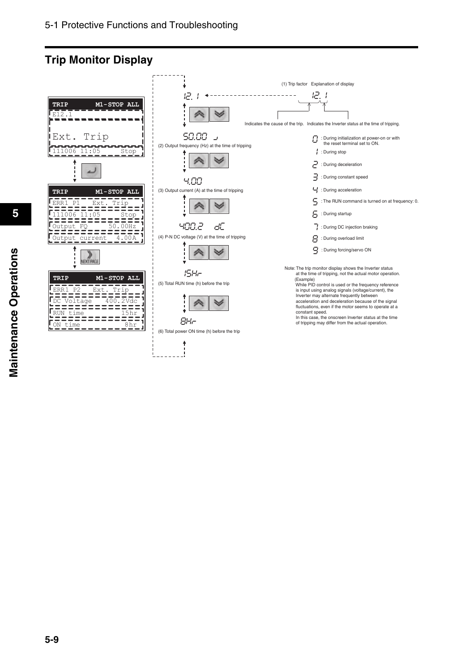